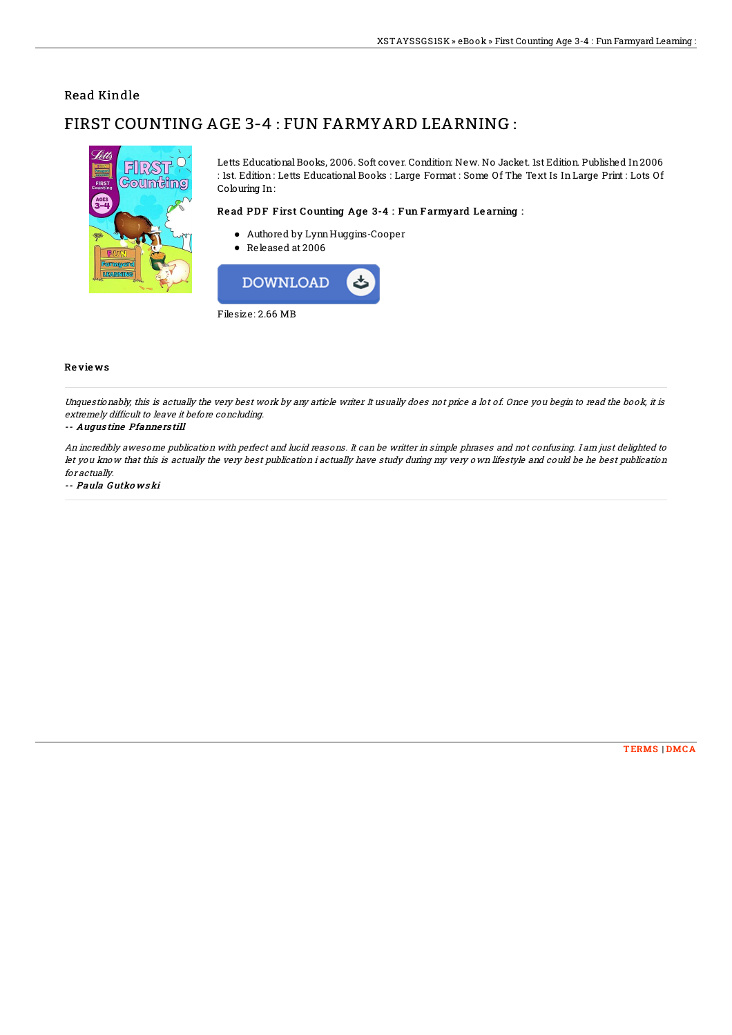## Read Kindle

# FIRST COUNTING AGE 3-4 : FUN FARMYARD LEARNING :



Letts Educational Books, 2006. Soft cover. Condition: New. No Jacket. 1st Edition. Published In 2006 : 1st. Edition: Letts Educational Books : Large Format : Some Of The Text Is In Large Print : Lots Of Colouring In:

### Read PDF First Counting Age 3-4 : Fun Farmyard Learning :

- Authored by Lynn Huggins-Cooper
- $\bullet$  Released at 2006



#### **Reviews**

Unquestionably, this is actually the very best work by any article writer. It usually does not price a lot of. Once you begin to read the book, it is extremely difficult to leave it before concluding.

#### -- Augustine Pfannerstill

An incredibly awesome publication with perfect and lucid reasons. It can be writter in simple phrases and not confusing. I am just delighted to let you know that this is actually the very best publication i actually have study during my very own lifestyle and could be he best publication for actually.

-- Paula Gutkowski